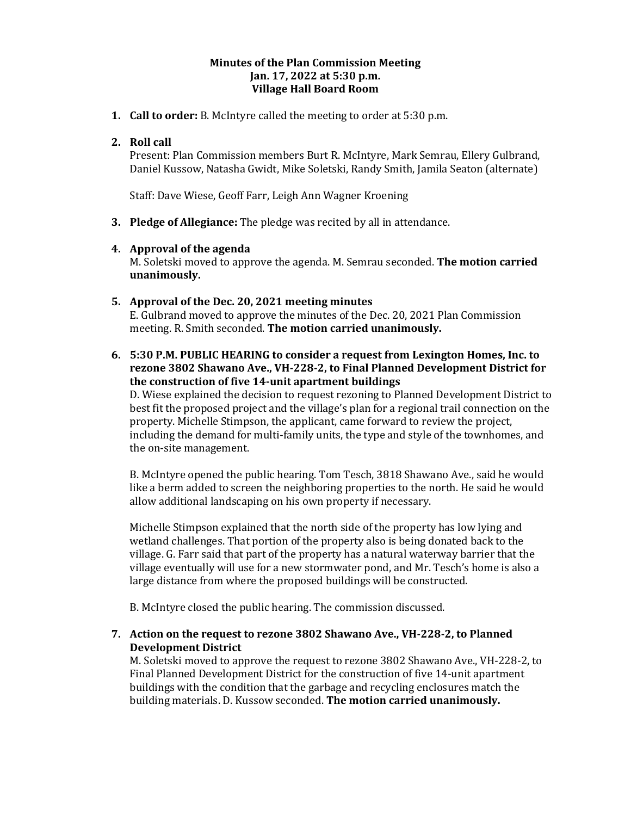# **Minutes of the Plan Commission Meeting Jan. 17, 2022 at 5:30 p.m. Village Hall Board Room**

**1. Call to order:** B. McIntyre called the meeting to order at 5:30 p.m.

# **2. Roll call**

Present: Plan Commission members Burt R. McIntyre, Mark Semrau, Ellery Gulbrand, Daniel Kussow, Natasha Gwidt, Mike Soletski, Randy Smith, Jamila Seaton (alternate)

Staff: Dave Wiese, Geoff Farr, Leigh Ann Wagner Kroening

**3. Pledge of Allegiance:** The pledge was recited by all in attendance.

## **4. Approval of the agenda**

M. Soletski moved to approve the agenda. M. Semrau seconded. **The motion carried unanimously.** 

## **5. Approval of the Dec. 20, 2021 meeting minutes**

E. Gulbrand moved to approve the minutes of the Dec. 20, 2021 Plan Commission meeting. R. Smith seconded. **The motion carried unanimously.**

# **6. 5:30 P.M. PUBLIC HEARING to consider a request from Lexington Homes, Inc. to rezone 3802 Shawano Ave., VH-228-2, to Final Planned Development District for the construction of five 14-unit apartment buildings**

D. Wiese explained the decision to request rezoning to Planned Development District to best fit the proposed project and the village's plan for a regional trail connection on the property. Michelle Stimpson, the applicant, came forward to review the project, including the demand for multi-family units, the type and style of the townhomes, and the on-site management.

B. McIntyre opened the public hearing. Tom Tesch, 3818 Shawano Ave., said he would like a berm added to screen the neighboring properties to the north. He said he would allow additional landscaping on his own property if necessary.

Michelle Stimpson explained that the north side of the property has low lying and wetland challenges. That portion of the property also is being donated back to the village. G. Farr said that part of the property has a natural waterway barrier that the village eventually will use for a new stormwater pond, and Mr. Tesch's home is also a large distance from where the proposed buildings will be constructed.

B. McIntyre closed the public hearing. The commission discussed.

# **7. Action on the request to rezone 3802 Shawano Ave., VH-228-2, to Planned Development District**

M. Soletski moved to approve the request to rezone 3802 Shawano Ave., VH-228-2, to Final Planned Development District for the construction of five 14-unit apartment buildings with the condition that the garbage and recycling enclosures match the building materials. D. Kussow seconded. **The motion carried unanimously.**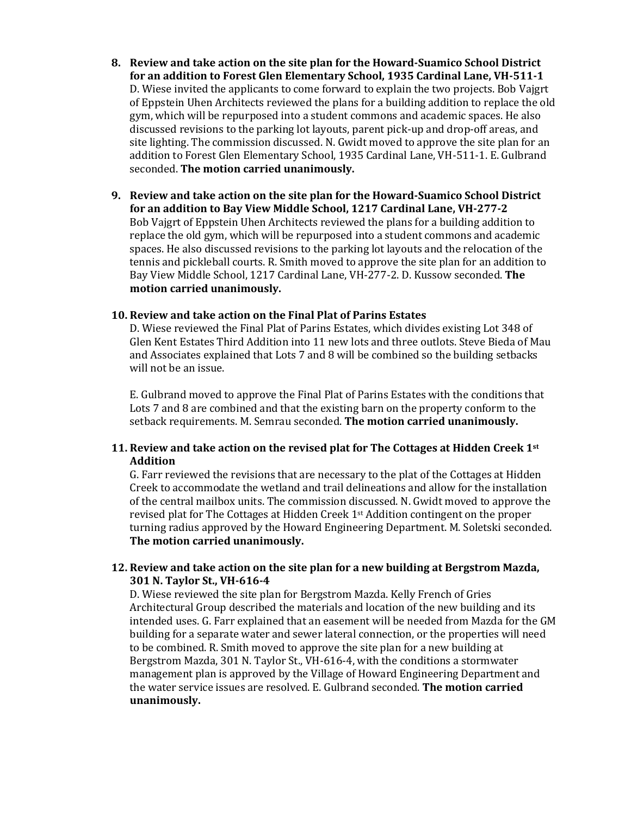- **8. Review and take action on the site plan for the Howard-Suamico School District for an addition to Forest Glen Elementary School, 1935 Cardinal Lane, VH-511-1** D. Wiese invited the applicants to come forward to explain the two projects. Bob Vajgrt of Eppstein Uhen Architects reviewed the plans for a building addition to replace the old gym, which will be repurposed into a student commons and academic spaces. He also discussed revisions to the parking lot layouts, parent pick-up and drop-off areas, and site lighting. The commission discussed. N. Gwidt moved to approve the site plan for an addition to Forest Glen Elementary School, 1935 Cardinal Lane, VH-511-1. E. Gulbrand seconded. **The motion carried unanimously.**
- **9. Review and take action on the site plan for the Howard-Suamico School District for an addition to Bay View Middle School, 1217 Cardinal Lane, VH-277-2** Bob Vajgrt of Eppstein Uhen Architects reviewed the plans for a building addition to replace the old gym, which will be repurposed into a student commons and academic spaces. He also discussed revisions to the parking lot layouts and the relocation of the tennis and pickleball courts. R. Smith moved to approve the site plan for an addition to Bay View Middle School, 1217 Cardinal Lane, VH-277-2. D. Kussow seconded. **The motion carried unanimously.**

#### **10. Review and take action on the Final Plat of Parins Estates**

D. Wiese reviewed the Final Plat of Parins Estates, which divides existing Lot 348 of Glen Kent Estates Third Addition into 11 new lots and three outlots. Steve Bieda of Mau and Associates explained that Lots 7 and 8 will be combined so the building setbacks will not be an issue.

E. Gulbrand moved to approve the Final Plat of Parins Estates with the conditions that Lots 7 and 8 are combined and that the existing barn on the property conform to the setback requirements. M. Semrau seconded. **The motion carried unanimously.** 

## **11. Review and take action on the revised plat for The Cottages at Hidden Creek 1st Addition**

G. Farr reviewed the revisions that are necessary to the plat of the Cottages at Hidden Creek to accommodate the wetland and trail delineations and allow for the installation of the central mailbox units. The commission discussed. N. Gwidt moved to approve the revised plat for The Cottages at Hidden Creek 1st Addition contingent on the proper turning radius approved by the Howard Engineering Department. M. Soletski seconded. **The motion carried unanimously.** 

# **12. Review and take action on the site plan for a new building at Bergstrom Mazda, 301 N. Taylor St., VH-616-4**

D. Wiese reviewed the site plan for Bergstrom Mazda. Kelly French of Gries Architectural Group described the materials and location of the new building and its intended uses. G. Farr explained that an easement will be needed from Mazda for the GM building for a separate water and sewer lateral connection, or the properties will need to be combined. R. Smith moved to approve the site plan for a new building at Bergstrom Mazda, 301 N. Taylor St., VH-616-4, with the conditions a stormwater management plan is approved by the Village of Howard Engineering Department and the water service issues are resolved. E. Gulbrand seconded. **The motion carried unanimously.**